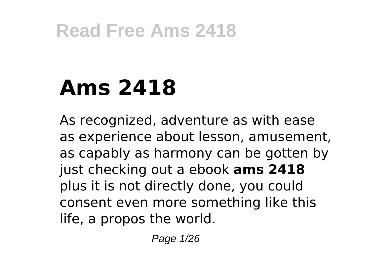# **Ams 2418**

As recognized, adventure as with ease as experience about lesson, amusement, as capably as harmony can be gotten by just checking out a ebook **ams 2418** plus it is not directly done, you could consent even more something like this life, a propos the world.

Page 1/26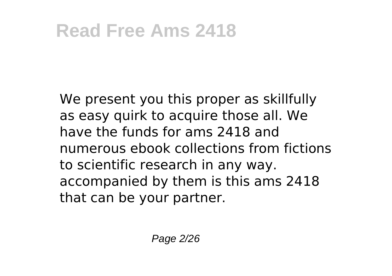We present you this proper as skillfully as easy quirk to acquire those all. We have the funds for ams 2418 and numerous ebook collections from fictions to scientific research in any way. accompanied by them is this ams 2418 that can be your partner.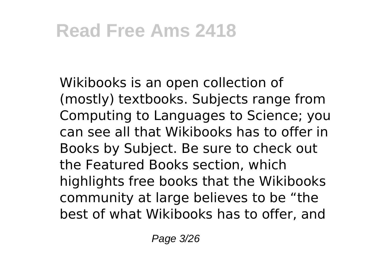Wikibooks is an open collection of (mostly) textbooks. Subjects range from Computing to Languages to Science; you can see all that Wikibooks has to offer in Books by Subject. Be sure to check out the Featured Books section, which highlights free books that the Wikibooks community at large believes to be "the best of what Wikibooks has to offer, and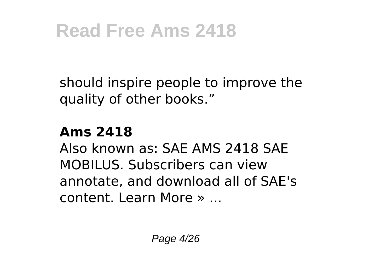should inspire people to improve the quality of other books."

#### **Ams 2418**

Also known as: SAE AMS 2418 SAE MOBILUS. Subscribers can view annotate, and download all of SAE's content. Learn More » ...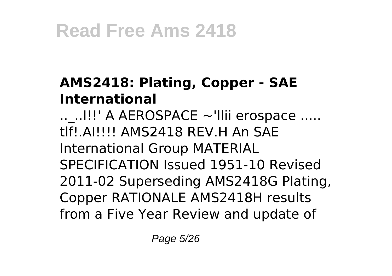#### **AMS2418: Plating, Copper - SAE International**

 $\ldots$ ..!!!' A AEROSPACE ~'llii erospace ..... tlf!.AI!!!! AMS2418 REV.H An SAE International Group MATERIAL SPECIFICATION Issued 1951-10 Revised 2011-02 Superseding AMS2418G Plating, Copper RATIONALE AMS2418H results from a Five Year Review and update of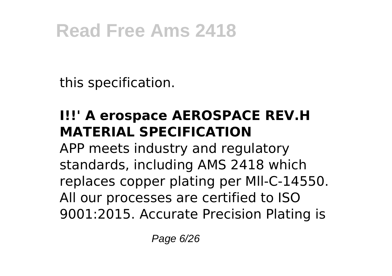this specification.

#### **I!!' A erospace AEROSPACE REV.H MATERIAL SPECIFICATION**

APP meets industry and regulatory standards, including AMS 2418 which replaces copper plating per Mll-C-14550. All our processes are certified to ISO 9001:2015. Accurate Precision Plating is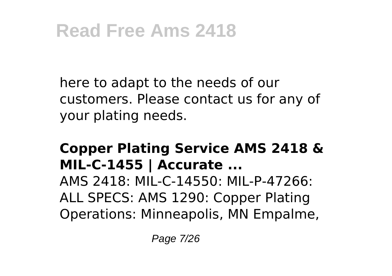here to adapt to the needs of our customers. Please contact us for any of your plating needs.

#### **Copper Plating Service AMS 2418 & MIL-C-1455 | Accurate ...**

AMS 2418: MIL-C-14550: MIL-P-47266: ALL SPECS: AMS 1290: Copper Plating Operations: Minneapolis, MN Empalme,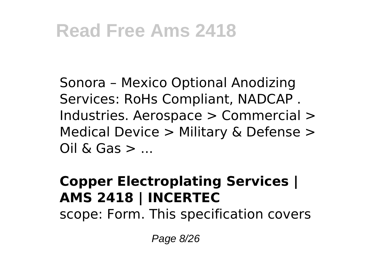Sonora – Mexico Optional Anodizing Services: RoHs Compliant, NADCAP . Industries. Aerospace > Commercial > Medical Device > Military & Defense >  $Oil \&$  Gas  $>$  ...

#### **Copper Electroplating Services | AMS 2418 | INCERTEC**

scope: Form. This specification covers

Page 8/26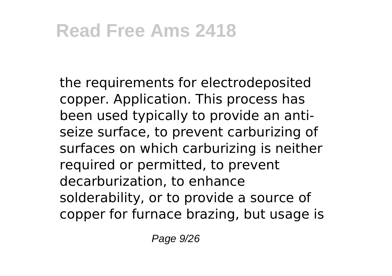the requirements for electrodeposited copper. Application. This process has been used typically to provide an antiseize surface, to prevent carburizing of surfaces on which carburizing is neither required or permitted, to prevent decarburization, to enhance solderability, or to provide a source of copper for furnace brazing, but usage is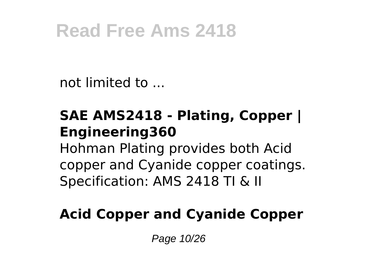not limited to ...

#### **SAE AMS2418 - Plating, Copper | Engineering360**

Hohman Plating provides both Acid copper and Cyanide copper coatings. Specification: AMS 2418 TI & II

#### **Acid Copper and Cyanide Copper**

Page 10/26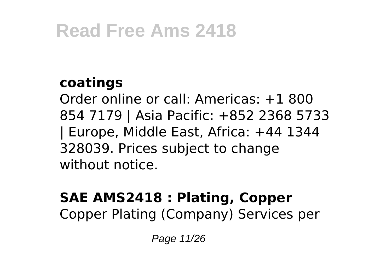#### **coatings**

Order online or call: Americas: +1 800 854 7179 | Asia Pacific: +852 2368 5733 | Europe, Middle East, Africa: +44 1344 328039. Prices subject to change without notice.

#### **SAE AMS2418 : Plating, Copper** Copper Plating (Company) Services per

Page 11/26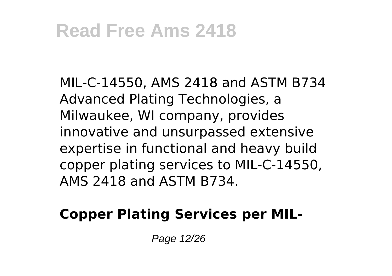MIL-C-14550, AMS 2418 and ASTM B734 Advanced Plating Technologies, a Milwaukee, WI company, provides innovative and unsurpassed extensive expertise in functional and heavy build copper plating services to MIL-C-14550, AMS 2418 and ASTM B734.

#### **Copper Plating Services per MIL-**

Page 12/26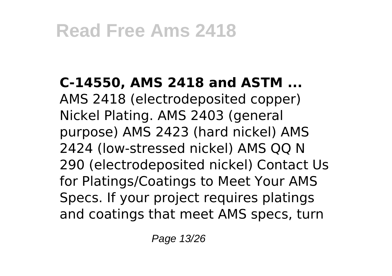**C-14550, AMS 2418 and ASTM ...** AMS 2418 (electrodeposited copper) Nickel Plating. AMS 2403 (general purpose) AMS 2423 (hard nickel) AMS 2424 (low-stressed nickel) AMS QQ N 290 (electrodeposited nickel) Contact Us for Platings/Coatings to Meet Your AMS Specs. If your project requires platings and coatings that meet AMS specs, turn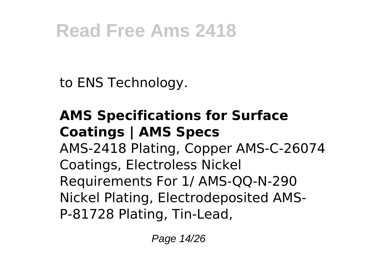to ENS Technology.

#### **AMS Specifications for Surface Coatings | AMS Specs** AMS-2418 Plating, Copper AMS-C-26074 Coatings, Electroless Nickel Requirements For 1/ AMS-QQ-N-290 Nickel Plating, Electrodeposited AMS-P-81728 Plating, Tin-Lead,

Page 14/26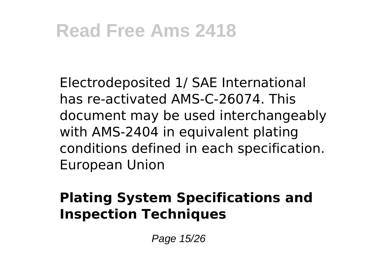Electrodeposited 1/ SAE International has re-activated AMS-C-26074. This document may be used interchangeably with AMS-2404 in equivalent plating conditions defined in each specification. European Union

#### **Plating System Specifications and Inspection Techniques**

Page 15/26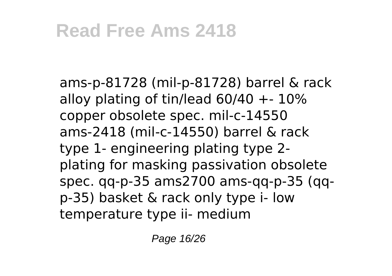ams-p-81728 (mil-p-81728) barrel & rack alloy plating of tin/lead  $60/40 + 10\%$ copper obsolete spec. mil-c-14550 ams-2418 (mil-c-14550) barrel & rack type 1- engineering plating type 2 plating for masking passivation obsolete spec. qq-p-35 ams2700 ams-qq-p-35 (qqp-35) basket & rack only type i- low temperature type ii- medium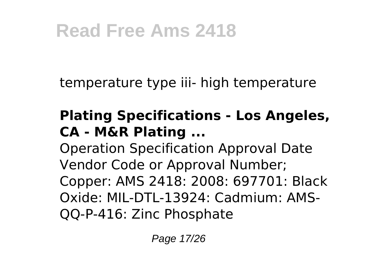temperature type iii- high temperature

#### **Plating Specifications - Los Angeles, CA - M&R Plating ...**

Operation Specification Approval Date Vendor Code or Approval Number; Copper: AMS 2418: 2008: 697701: Black Oxide: MIL-DTL-13924: Cadmium: AMS-QQ-P-416: Zinc Phosphate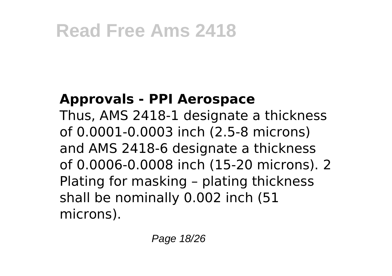#### **Approvals - PPI Aerospace**

Thus, AMS 2418-1 designate a thickness of 0.0001-0.0003 inch (2.5-8 microns) and AMS 2418-6 designate a thickness of 0.0006-0.0008 inch (15-20 microns). 2 Plating for masking – plating thickness shall be nominally 0.002 inch (51 microns).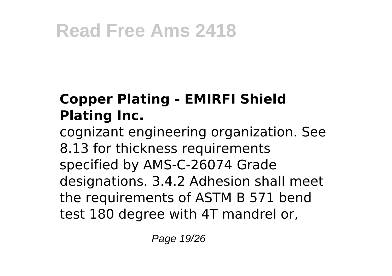#### **Copper Plating - EMIRFI Shield Plating Inc.**

cognizant engineering organization. See 8.13 for thickness requirements specified by AMS-C-26074 Grade designations. 3.4.2 Adhesion shall meet the requirements of ASTM B 571 bend test 180 degree with 4T mandrel or,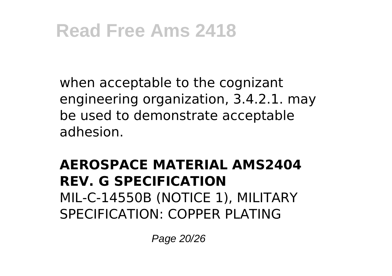when acceptable to the cognizant engineering organization, 3.4.2.1. may be used to demonstrate acceptable adhesion.

#### **AEROSPACE MATERIAL AMS2404 REV. G SPECIFICATION** MIL-C-14550B (NOTICE 1), MILITARY SPECIFICATION: COPPER PLATING

Page 20/26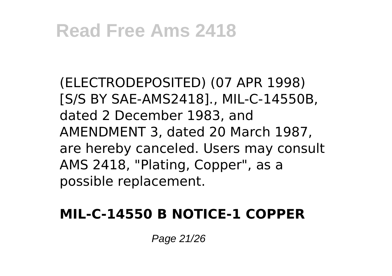(ELECTRODEPOSITED) (07 APR 1998) [S/S BY SAE-AMS2418]., MIL-C-14550B, dated 2 December 1983, and AMENDMENT 3, dated 20 March 1987, are hereby canceled. Users may consult AMS 2418, "Plating, Copper", as a possible replacement.

#### **MIL-C-14550 B NOTICE-1 COPPER**

Page 21/26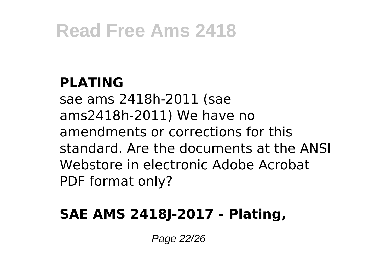#### **PLATING**

sae ams 2418h-2011 (sae ams2418h-2011) We have no amendments or corrections for this standard. Are the documents at the ANSI Webstore in electronic Adobe Acrobat PDF format only?

#### **SAE AMS 2418J-2017 - Plating,**

Page 22/26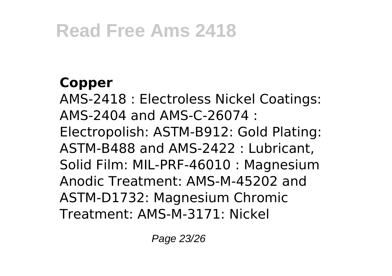#### **Copper**

AMS-2418 : Electroless Nickel Coatings: AMS-2404 and AMS-C-26074 : Electropolish: ASTM-B912: Gold Plating: ASTM-B488 and AMS-2422 : Lubricant, Solid Film: MIL-PRF-46010 : Magnesium Anodic Treatment: AMS-M-45202 and ASTM-D1732: Magnesium Chromic Treatment: AMS-M-3171: Nickel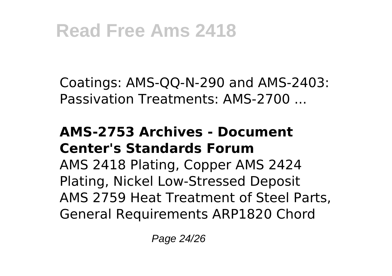Coatings: AMS-QQ-N-290 and AMS-2403: Passivation Treatments: AMS-2700 ...

#### **AMS-2753 Archives - Document Center's Standards Forum**

AMS 2418 Plating, Copper AMS 2424 Plating, Nickel Low-Stressed Deposit AMS 2759 Heat Treatment of Steel Parts, General Requirements ARP1820 Chord

Page 24/26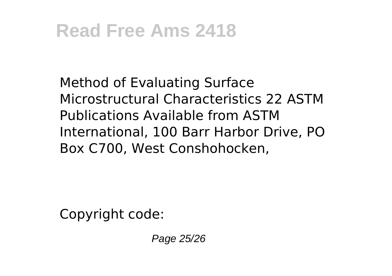Method of Evaluating Surface Microstructural Characteristics 22 ASTM Publications Available from ASTM International, 100 Barr Harbor Drive, PO Box C700, West Conshohocken,

Copyright code:

Page 25/26